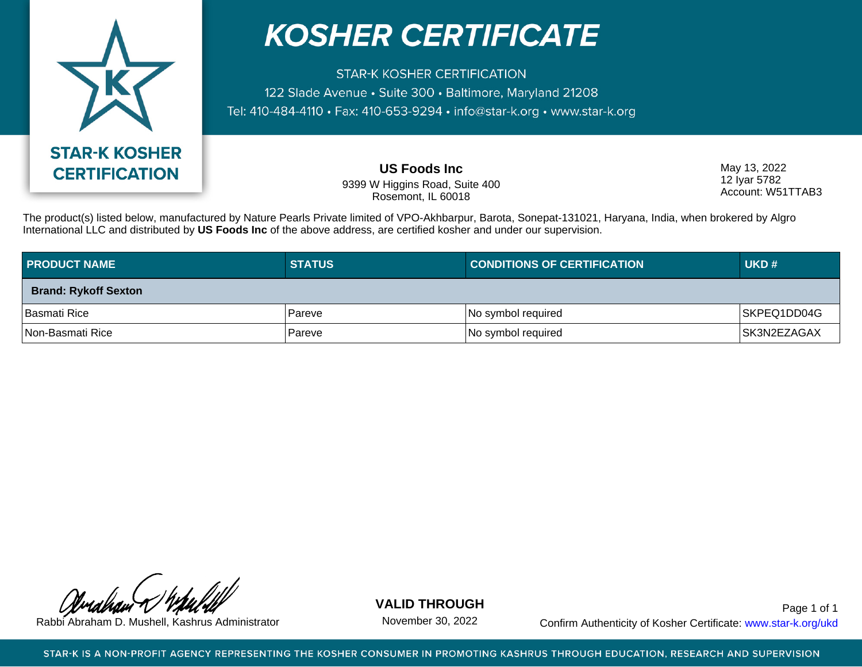

## **KOSHER CERTIFICATE**

**STAR-K KOSHER CERTIFICATION** 122 Slade Avenue · Suite 300 · Baltimore, Maryland 21208 Tel: 410-484-4110 · Fax: 410-653-9294 · info@star-k.org · www.star-k.org

> **US Foods Inc** 9399 W Higgins Road, Suite 400 Rosemont, IL 60018

May 13, 2022 12 Iyar 5782 Account: W51TTAB3

The product(s) listed below, manufactured by Nature Pearls Private limited of VPO-Akhbarpur, Barota, Sonepat-131021, Haryana, India, when brokered by Algro International LLC and distributed by **US Foods Inc** of the above address, are certified kosher and under our supervision.

| <b>PRODUCT NAME</b>         | <b>STATUS</b> | <b>CONDITIONS OF CERTIFICATION</b> | UKD#         |
|-----------------------------|---------------|------------------------------------|--------------|
| <b>Brand: Rykoff Sexton</b> |               |                                    |              |
| Basmati Rice                | Pareve        | No symbol required                 | SKPEQ1DD04G  |
| Non-Basmati Rice            | 'Pareve       | No symbol required                 | ISK3N2EZAGAX |

**VALID THROUGH**

November 30, 2022

Rabbi Abraham D. Mushell, Kashrus Administrator November 30, 2022 Confirm Authenticity of Kosher Certificate: www.star-k.org/ukd Page 1 of 1

STAR-K IS A NON-PROFIT AGENCY REPRESENTING THE KOSHER CONSUMER IN PROMOTING KASHRUS THROUGH EDUCATION, RESEARCH AND SUPERVISION